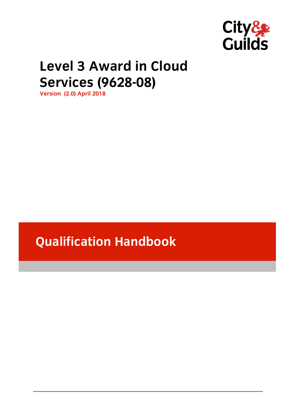

# **Level 3 Award in Cloud Services (9628-08)**

**Services (9628-08) Version (2.0) April 2018**

**Qualification Handbook**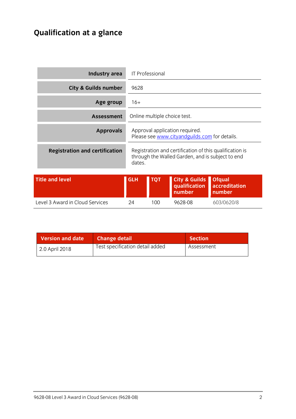# **Qualification at a glance**

| Industry area                         |            | <b>IT Professional</b>       |                                                                                                             |                                          |
|---------------------------------------|------------|------------------------------|-------------------------------------------------------------------------------------------------------------|------------------------------------------|
| <b>City &amp; Guilds number</b>       | 9628       |                              |                                                                                                             |                                          |
| Age group                             | $16+$      |                              |                                                                                                             |                                          |
| <b>Assessment</b>                     |            | Online multiple choice test. |                                                                                                             |                                          |
| <b>Approvals</b>                      |            |                              | Approval application required.<br>Please see www.cityandguilds.com for details.                             |                                          |
| <b>Registration and certification</b> | dates.     |                              | Registration and certification of this qualification is<br>through the Walled Garden, and is subject to end |                                          |
| <b>Title and level</b>                | <b>GLH</b> | <b>TQT</b>                   | <b>City &amp; Guilds</b><br>qualification<br>number                                                         | <b>Ofqual</b><br>accreditation<br>number |
| Level 3 Award in Cloud Services       | 24         | 100                          | 9628-08                                                                                                     | 603/0620/8                               |

| <b>Version and date</b> | <b>Change detail</b>            | <b>Section</b> |
|-------------------------|---------------------------------|----------------|
| 2.0 April 2018          | Test specification detail added | Assessment     |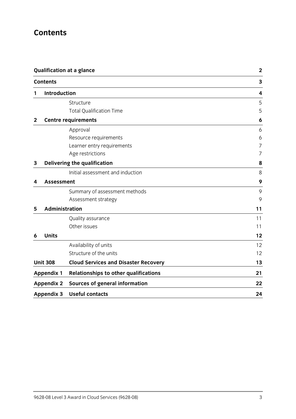## **Contents**

|              | <b>Qualification at a glance</b><br><b>Contents</b> |                                              | $\mathbf{2}$<br>3 |  |
|--------------|-----------------------------------------------------|----------------------------------------------|-------------------|--|
|              |                                                     |                                              |                   |  |
| 1            | <b>Introduction</b>                                 |                                              | 4                 |  |
|              |                                                     | Structure                                    | 5                 |  |
|              |                                                     | <b>Total Qualification Time</b>              | 5                 |  |
| $\mathbf{2}$ |                                                     | <b>Centre requirements</b>                   | 6                 |  |
|              |                                                     | Approval                                     | 6                 |  |
|              |                                                     | Resource requirements                        | 6                 |  |
|              |                                                     | Learner entry requirements                   | 7                 |  |
|              |                                                     | Age restrictions                             | 7                 |  |
| 3            |                                                     | Delivering the qualification                 | 8                 |  |
|              |                                                     | Initial assessment and induction             | 8                 |  |
| 4            | <b>Assessment</b>                                   |                                              | 9                 |  |
|              |                                                     | Summary of assessment methods                | 9                 |  |
|              |                                                     | Assessment strategy                          | 9                 |  |
| 5            | <b>Administration</b>                               |                                              | 11                |  |
|              |                                                     | Quality assurance                            | 11                |  |
|              |                                                     | Other issues                                 | 11                |  |
| 6            | <b>Units</b>                                        |                                              | 12                |  |
|              |                                                     | Availability of units                        | 12                |  |
|              |                                                     | Structure of the units                       | 12                |  |
|              | <b>Unit 308</b>                                     | <b>Cloud Services and Disaster Recovery</b>  | 13                |  |
|              | <b>Appendix 1</b>                                   | <b>Relationships to other qualifications</b> | 21                |  |
|              | <b>Appendix 2</b>                                   | <b>Sources of general information</b>        | 22                |  |
|              | <b>Appendix 3</b>                                   | <b>Useful contacts</b>                       | 24                |  |
|              |                                                     |                                              |                   |  |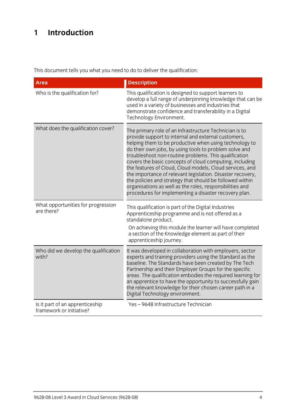## **1 Introduction**

This document tells you what you need to do to deliver the qualification:

| <b>Area</b>                                                 | <b>Description</b>                                                                                                                                                                                                                                                                                                                                                                                                                                                                                                                                                                                                                                               |
|-------------------------------------------------------------|------------------------------------------------------------------------------------------------------------------------------------------------------------------------------------------------------------------------------------------------------------------------------------------------------------------------------------------------------------------------------------------------------------------------------------------------------------------------------------------------------------------------------------------------------------------------------------------------------------------------------------------------------------------|
| Who is the qualification for?                               | This qualification is designed to support learners to<br>develop a full range of underpinning knowledge that can be<br>used in a variety of businesses and industries that<br>demonstrate confidence and transferability in a Digital<br>Technology Environment.                                                                                                                                                                                                                                                                                                                                                                                                 |
| What does the qualification cover?                          | The primary role of an Infrastructure Technician is to<br>provide support to internal and external customers,<br>helping them to be productive when using technology to<br>do their own jobs, by using tools to problem solve and<br>troubleshoot non-routine problems. This qualification<br>covers the basic concepts of cloud computing, including<br>the features of Cloud, Cloud models, Cloud services, and<br>the importance of relevant legislation. Disaster recovery,<br>the policies and strategy that should be followed within<br>organisations as well as the roles, responsibilities and<br>procedures for implementing a disaster recovery plan. |
| What opportunities for progression<br>are there?            | This qualification is part of the Digital Industries<br>Apprenticeship programme and is not offered as a<br>standalone product.<br>On achieving this module the learner will have completed                                                                                                                                                                                                                                                                                                                                                                                                                                                                      |
|                                                             | a section of the Knowledge element as part of their<br>apprenticeship journey.                                                                                                                                                                                                                                                                                                                                                                                                                                                                                                                                                                                   |
| Who did we develop the qualification<br>with?               | It was developed in collaboration with employers, sector<br>experts and training providers using the Standard as the<br>baseline. The Standards have been created by The Tech<br>Partnership and their Employer Groups for the specific<br>areas. The qualification embodies the required learning for<br>an apprentice to have the opportunity to successfully gain<br>the relevant knowledge for their chosen career path in a<br>Digital Technology environment.                                                                                                                                                                                              |
| Is it part of an apprenticeship<br>framework or initiative? | Yes-9648 Infrastructure Technician                                                                                                                                                                                                                                                                                                                                                                                                                                                                                                                                                                                                                               |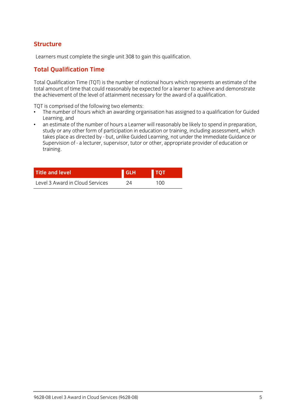# **Structure**

Learners must complete the single unit 308 to gain this qualification.

# **Total Qualification Time**

Total Qualification Time (TQT) is the number of notional hours which represents an estimate of the  $\frac{1}{2}$  is a chieve ment of the level of attainment necessary for the award of a qualification the achievement of the level of attainment necessary for the award of a qualification.

- TQT is comprised of the following two elements:<br>• The number of hours which an awarding organisation has assigned to a qualification for Guided Learning, and
- an estimate of the number of hours a Learner will reasonably be likely to spend in preparation.  $\bullet$ study or any other form of participation in education or training, including assessment, which takes place as directed by - but, unlike Guided Learning, not under the Immediate Guidance or takes place as an ecceancy - but, unlike Guided Learning, not under the Immediate Guidance or<br>Supervision of - a lecturer supervisor, tutor or other, appropriate provider of education or Supervision of - a lecturer, supervisor, tutor or other, appropriate provider of education or training.

| <b>Title and level</b>          | <b>GLH</b> | <b>TOT</b> |
|---------------------------------|------------|------------|
| Level 3 Award in Cloud Services | 24         | 100        |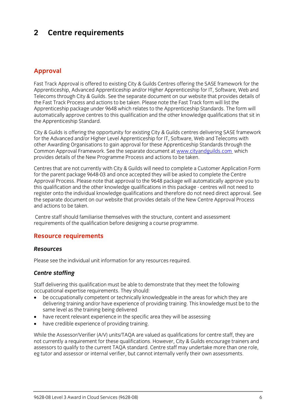## $\overline{2}$ **2 Centre requirements**

## **Approval**

Fast Track Approval is offered to existing City & Guilds Centres offering the SASE framework for the<br>Apprenticeship, Advanced Apprenticeship and/or Higher Apprenticeship for IT, Software, Web and Telecoms through City & Guilds. See the separate document on our website that provides details of the Fast Track Process and actions to be taken. Please note the Fast Track form will list the Apprenticeship package under 9648 which relates to the Apprenticeship Standards. The form will automatically approve centres to this qualification and the other knowledge qualifications that sit in the Apprenticeship Standard. the Apprenticeship Standard.

City & Guilds is offering the opportunity for existing City & Guilds centres delivering SASE framework for the Advanced and/or Higher Level Apprenticeship for IT, Software, Web and Telecoms with other Awarding Organisations to gain approval for these Apprenticeship Standards through the Common Approval Framework. See the separate document at www.cityandguilds.com which Common Apple Framework. See the separate document at the separate document at the separate document at which the separate document at which the separate document at which the separate document at which the separate documen provides details of the New Programme Process and actions to be taken.

Centres that are not currently with City & Guilds will need to complete a Customer Application Form Approval Process. Please note that approval to the 9648 package will automatically approve you to this qualification and the other knowledge qualifications in this package - centres will not need to register onto the individual knowledge qualifications and therefore do not need direct approval. See the separate document on our website that provides details of the New Centre Approval Process and actions to be taken and actions to be taken.

Centre staff should familiarise themselves with the structure, content and assessment requirements of the qualification before designing a course programme. requirements of the qualification before designing a course programme.

## **Resource requirements**

### **Resources** *Resources*

Please see the individual unit information for any resources required.

### *Centre staffing*

Staff delivering this qualification must be able to demonstrate that they meet the following occupational expertise requirements. They should:

- be occupationally competent or technically knowledgeable in the areas for which they are delivering training and/or have experience of providing training. This knowledge must be to the same level as the training being delivered
- have recent relevant experience in the specific area they will be assessing<br>• have credible experience of providing training
- have credible experience of providing training.

While the Assessor/Verifier (A/V) units/TAQA are valued as qualifications for centre staff, they are not currently a requirement for these qualifications. However, City & Guilds encourage trainers and assessors to qualify to the current TAOA standard. Centre staff may undertake more than one role, eg tutor and assessor or internal verifier, but cannot internally verify their own assessments. eg tutor and assessor or internal verifier, but cannot internally verify their own assessments.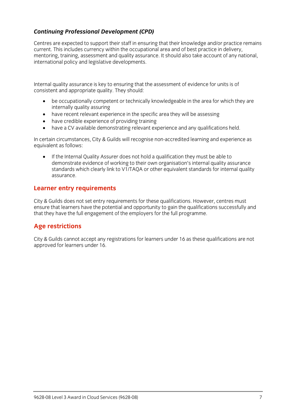# *Continuing Professional Development (CPD)*

Centres are expected to support their staff in ensuring that their knowledge and/or practice remains current. This includes currency within the occupational area and of best practice in delivery. mentoring, training, assessment and quality assurance. It should also take account of any national, international policy and legislative developments. international policy and legislative developments.

Internal quality assurance is key to ensuring that the assessment of evidence for units is of consistent and appropriate  $\frac{1}{2}$  should: They should: They should: They should: They should: They should: They should: They should: They should: They should: They should: They should: They should: They should: They sho

- be occupationally competent or technically knowledgeable in the area for which they are
- have recent relevant experience in the specific area they will be assessing<br>• have credible experience of providing training
- have credible experience of providing training
- have a CV available demonstrating relevant experience and any qualifications held.

In certain circumstances, City & Guilds will recognise non-accredited learning and experience as equivalent as follows:

If the Internal Quality Assurer does not hold a qualification they must be able to demonstrate evidence of working to their own organisation's internal quality assurance standards which clearly link to V1/TAOA or other equivalent standards for internal quality  $s_{\rm t}$  is a contribution or other equivalent standards for internal quality  $\frac{1}{\sqrt{2}}$ assurance.

# **Learner entry requirements**

City & Guilds does not set entry requirements for these qualifications. However, centres must ensure that learners have the potential and opportunity to gain the qualifications successfully and that they have the full engagement of the employers for the full programme.  $t_{\rm t}$  that the employers for the full programme.

# **Age restrictions**

city is guilds cannot accept any registrations for rearners under 16 as these qualifications are not approved for learners under 16.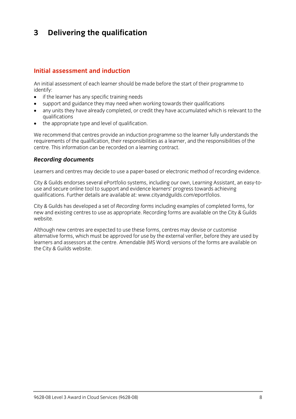## $\mathbf{3}$ **3 Delivering the qualification**

### Initial assessment and induction **Initial assessment and induction**

An initial assessment of each learner should be made before the start of their programme to identify:

- $\bullet$  if the learner has any specific training needs<br>  $\bullet$  sunnort and quidance they may need when
- support and guidance they may need when working towards their qualifications
- any units they have already completed, or credit they have accumulated which is relevant to the
- $\bullet$  the appropriate type and level of qualification.

We recommend that centres provide an induction programme so the learner fully understands the requirements of the qualification, their responsibilities as a learner, and the responsibilities of the centre. This information can be recorded on a learning contract. centre. This information can be recorded on a learning contract.

# *Recording documents*

Learners and centres may decide to use a paper-based or electronic method of recording evidence.

City & Guilds endorses several ePortfolio systems, including our own, Learning Assistant, an easy-to-<br>use and secure online tool to support and evidence learners' progress towards achieving qualifications. Further details are available at: www.cityandguilds.com/eportfolios.  $q_1$ . Further details are available at: www.cityandguilds.com/epoch.com/epoch.com/epoch.com/epoch.com/epoch.com/epoch.com/epoch.com/epoch.com/epoch.com/epoch.com/epoch.com/epoch.com/epoch.com/epoch.com/epoch.com/epoch.co

City & Guilds has developed a set of *Recording forms* including examples of completed forms, for new and existing centres to use as appropriate. Recording forms are available on the City & Guilds website.

Although new centres are expected to use these forms, centres may devise or customise<br>alternative forms, which must be approved for use by the external verifier, before they are used by learners and assessors at the centre. Amendable (MS Word) versions of the forms are available on the City & Guilds website.  $t_{\rm t}$  the City website.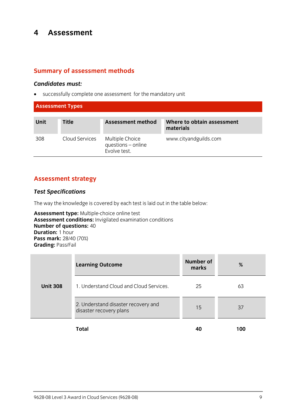## $\overline{\mathbf{4}}$ **4 Assessment**

## **Summary of assessment methods**

*Candidates must:* successfully complete one assessment for the mandatory unit

| <b>Assessment Types</b> |                |                                                       |                                         |
|-------------------------|----------------|-------------------------------------------------------|-----------------------------------------|
| <b>Unit</b>             | <b>Title</b>   | <b>Assessment method</b>                              | Where to obtain assessment<br>materials |
| 308                     | Cloud Services | Multiple Choice<br>questions - online<br>Evolve test. | www.cityandguilds.com                   |

## **Assessment strategy**

## *Test Specifications*

The way the knowledge is covered by each test is laid out in the table below:<br> **Assessment type:** Multiple-choice online test

Assessment conditions: Invigilated examination conditions **Number of questions: 40 Duration: 1 hour Pass mark:** 28/40 (70%) **Grading: Pass/Fail Grading:** Pass/Fail

|                 | <b>Learning Outcome</b>                                        | <b>Number of</b><br>marks | %   |
|-----------------|----------------------------------------------------------------|---------------------------|-----|
| <b>Unit 308</b> | 1. Understand Cloud and Cloud Services.                        | 25                        | 63  |
|                 | 2. Understand disaster recovery and<br>disaster recovery plans | 15                        | 37  |
|                 | Total                                                          | 40                        | 100 |

**Total 40 100**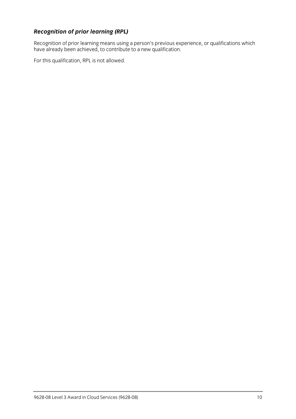**Recognition of prior learning (RPL)**<br>Recognition of prior learning means using a person's previous experience, or qualifications which Recognition of prior learning means using a person's previous experience, or qualifications which is needed. have already been achieved, to contribute to a new qualification.

For this qualification, RPL is not allowed.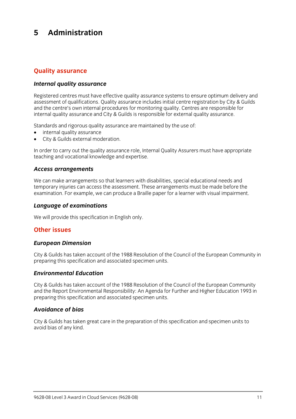### 5 Administration **5 Administration**

# **Quality assurance**

## *Internal quality assurance*

Registered centres must have effective quality assurance systems to ensure optimum delivery and<br>assessment of qualifications. Ouality assurance includes initial centre registration by City & Guilds and the centre's own internal procedures for monitoring quality. Centres are responsible for internal quality assurance and City & Guilds is responsible for external quality assurance. internal quality assurance and City & Guilds is responsible for external quality assurance.

- $\bullet$  internal quality assurance<br>  $\bullet$  City & Guilds external moderation
- City & Guilds external moderation.

In order to carry out the quality assurance role, Internal Quality Assurers must have appropriate teaching and vocational knowledge and expertise. teaching and vocational knowledge and expertise.

# *Access arrangements*

We can make arrangements so that learners with disabilities, special educational needs and<br>temporary injuries can access the assessment. These arrangements must be made before the  $\frac{1}{2}$  in  $\frac{1}{2}$  is the cannon contract the assessment. The assessment of  $\frac{1}{2}$  arrangement of  $\frac{1}{2}$  arrangement of  $\frac{1}{2}$  arrangement of  $\frac{1}{2}$  arrangement of  $\frac{1}{2}$  arrangement of  $\frac{1}{2}$  arrang examination. For example, we can produce a Braille paper for a learner with visual impairment.

# *Language of examinations*

 $\mathbb{R}^n$  will provide this specification in Eq. (

# **Other issues**

# *European Dimension*

City & Guilds has taken account of the 1988 Resolution of the Council of the European Community in preparing this specification and associated specimen units. preparing this specification and associated specimen units.

# *Environmental Education*

City & Guilds has taken account of the 1988 Resolution of the Council of the European Community preparing this specification and associated specimen units. preparing this specification and associated specimen units.

### **Avoidance of bias** *Avoidance of bias*

City & Guilds has taken great care in the preparation of this specification and specimen units to avoid bias of any kind.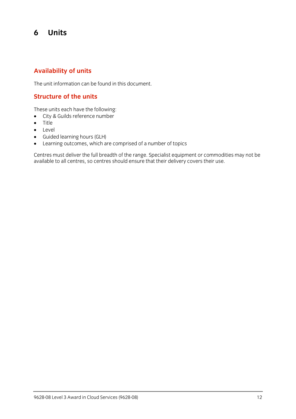## 6 **6 Units**

## **Availability of units**

The unit information can be found in this document.

## **Structure of the units**

- $\bullet$  City & Guilds reference number
- $\bullet$  Title
- **•** Level<br>• Guide
- Guided learning hours (GLH)
- 

• Learning outcomes, which are comprised of a number of topics<br>Centres must deliver the full breadth of the range. Specialist equipment or commodities may not be centres must demite the functionality of the range oppositive equipment or commodities may not be available to all centres, so centres should ensure that their delivery covers their use.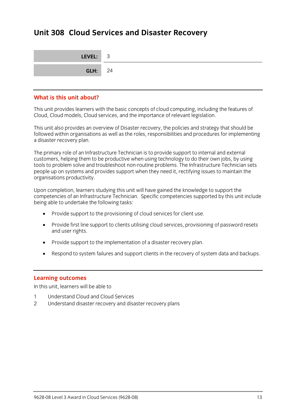## **Unit 308 Cloud Services and Disaster Recovery**

| LEVEL: 3       |  |
|----------------|--|
| <b>GLH:</b> 24 |  |

### What is this unit about? **What is this unit about?**

This unit provides learners with the basic concepts of cloud computing, including the features of Cloud, Cloud models, Cloud services, and the importance of relevant legislation. Cloud, Cloud models, Cloud services, and the importance of relevant legislation.

This unit also provides an overview of Disaster recovery, the policies and strategy that should be followed within organisations as well as the roles, responsibilities and procedures for implementing a disaster recovery plan. a disaster recovery plan.

The primary role of an Infrastructure Technician is to provide support to internal and external<br>customers, helping them to be productive when using technology to do their own jobs, by using tools to problem solve and troubleshoot non-routine problems. The Infrastructure Technician sets people up on systems and provides support when they need it, rectifying issues to maintain the or ganisations productivity. organisations productivity.

Upon completion, learners studying this unit will have gained the knowledge to support the<br>competencies of an Infrastructure Technician. Specific competencies supported by this unit include being able to undertake the following tasks: being able to undertake the following tasks:

- Provide support to the provisioning of cloud services for client use.
- Provide first line support to clients utilising cloud services, provisioning of password resets and user rights.
- Provide support to the implementation of a disaster recovery plan.
- Respond to system failures and support clients in the recovery of system data and backups.

**Learning outcomes**<br>In this unit, learners will be able to

- Understand Cloud and Cloud Services  $\mathbf{1}$
- 2 Understand disaster recovery and disaster recovery plans 2 Understand disaster recovery and disaster recovery plans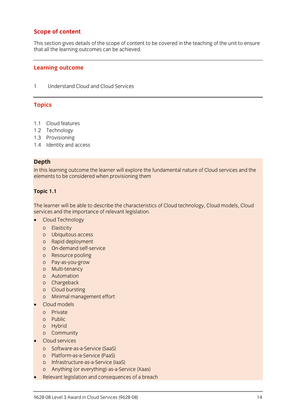## **Scope of content**

This section gives details of the scope of content to be covered in the teaching of the unit to ensure<br>that all the learning outcomes can be achieved that all the learning outcomes can be achieved.

### **Learning outcome**

Understand Cloud and Cloud Services  $\mathbf{1}$ 1 Understand Cloud and Cloud Services

### **Topics**

- 1.1 Cloud features<br>1.2 Technology
- 
- 1.3 Provisioning
- 1.4 Identity and access  $1.4$  Identity and access

**Depth**<br>In this learning outcome the learner will explore the fundamental nature of Cloud services and the  $I$  elements to be considered when provisioning them elements to be considered when provisioning them

### **Topic 1.1**

The learner will be able to describe the characteristics of Cloud technology, Cloud models, Cloud<br>services and the importance of relevant legislation.

- ervices and the importance of relevant legislation.<br>
Cloud Technology
	-
	- o Elasticity<br>o Ubiquitous access
	- o Rapid deployment
	- o On-demand self-service
	- o Resource pooling
	- o Pay-as-you-grow
	- o Multi-tenancy
	- o Automation
	- o Chargeback
	- o Cloud bursting
	- o Minimal management effort
- $\bullet$  Cloud models
	- o Private<br>o Public
	-
	- o Hybrid
	- o Community
- $\bullet$  Cloud services
	- o Software-as-a-Service (SaaS)
	-
	- o Infrastructure-as-a-Service (IaaS)
	- o Anything (or everything)-as-a-Service (Xaas)
- Relevant legislation and consequences of a breach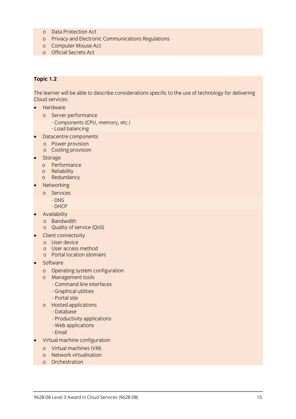- o Data Protection Act
- o Privacy and Electronic Communications Regulations
- o Computer Misuse Act
- o Official Secrets Act o Official Secrets Act

## **Topic 1.2**

The learner will be able to describe considerations specific to the use of technology for delivering<br>Cloud services:

- $\bullet$  Hardware
	-
	- o Server performance<br>- Components (CPU, memory, etc.)
		- Load balancing
- Datacentre components
	- o Power provision<br>o Cooling provision
	-
- o Storage<br>
Cooleense
	- o Performance
	-
	- o Redundancy
- Networking<br>
 Commisses
	- o Services
		-
		- DHCP
- $\bullet$  Availability
	-
	- o Quality of service (QoS)
- $\bullet$  Client connectivity
	- o User device<br>o User access method
	-
	- o Portal location (domain)
- $\bullet$  Software
	- o Operating system configuration
	- - Command line interfaces
		- Graphical utilities
		- Portal site
	- o Hosted applications
		- Database
		- Productivity applications
		- Web applications
		- Email
- $\bullet$  Virtual machine configuration
	- o Virtual machines (VM)
	-
	- o Orchestration o <del>Orchestration</del>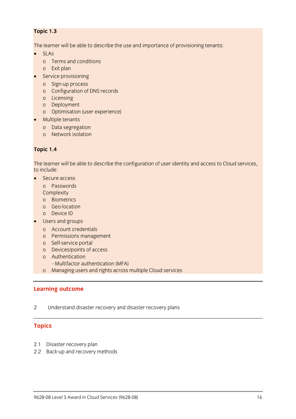## **Topic 1.3**

The learner will be able to describe the use and importance of provisioning tenants:

- - SLAs<br>
	o Terms and conditions
	- o Exit plan
- $\bullet$  Service provisioning
	-
	- o Sign-up process<br>o Configuration of DNS records
	- o Licensing
	- o Deployment
	- o Optimisation (user experience)
- $\bullet$  Multiple tenants
	- o Data segregation<br>o Network isolation
	- o Network isolation

## **Topic 1.4**

The learner will be able to describe the configuration of user identity and access to Cloud services,

- Secure access<br>- Conservants
	-
	- Complexity
	- o Biometrics
	- o Geo-location
	- o Device ID
- Users and groups
	-
	- o Account credentials<br>o Permissions management
	- o Self-service portal
	- o Devices/points of access
	- o Authentication
		- Multifactor authentication (MFA)
	- Multimactor authorization (mm)<br>A Managing users and rights across o Managing users and rights across multiple Cloud services

# **Learning outcome**

 $\overline{2}$ Understand disaster recovery and disaster recovery plans

## **Topics**

- 
- $2.7$  Disaster recovery plan.  $2.2$  Back-up and recovery methods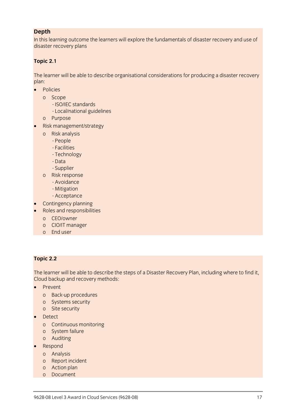**Depth**<br>In this learning outcome the learners will explore the fundamentals of disaster recovery and use of In this learning outcome the learners will explore the fundamentals of disaster recovery and use of disaster recovery plans

## **Topic 2.1**

The learner will be able to describe organisational considerations for producing a disaster recovery plan:

- Policies
	-
	- o Scope<br>- ISO/IEC standards
		- Local/national guidelines
	- o Purpose
- Risk management/strategy
	- o Risk analysis
		-
		- Facilities
		- Technology
		- Data
		- Supplier
	- o Risk response
		- Avoidance
		- Mitigation
		- Acceptance
- Contingency planning<br>• Boles and responsibility
- Roles and responsibilities<br>o CEO/owner
	-
	- o CIO/IT manager
	- o End user o End user

### **Topic 2.2**

The learner will be able to describe the steps of a Disaster Recovery Plan, including where to find it, Cloud backup and recovery methods: Cloud backup and recovery methods:

- 
- Prevent<br>o Back-up procedures
	- o Systems security
	- o Site security
- Detect<br>● Centinuous
	- o Continuous monitoring
	-
	- o Auditing
- $\bullet$  Respond
	-
	- o Analysis<br>o Report incident
	- o Action plan
	- o Document o <del>Document</del>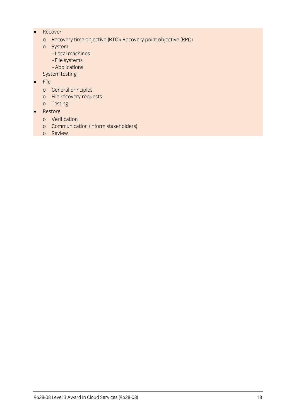- Recover
	- o Recovery time objective (RTO)/ Recovery point objective (RPO)
	- - Local machines
		- File systems
		- Applications

- The Corrections<br>System testing system testing<br>Ele

- 
- File<br>o General principles
	- o File recovery requests
	- o Testing
- $\bullet$  Restore
	-
	- o Communica o Review
	- o Review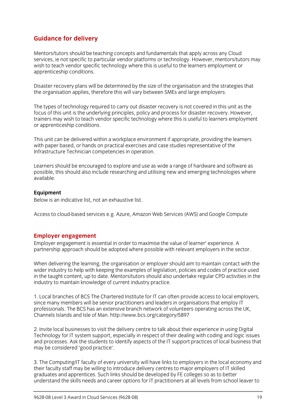## **Guidance for delivery**

Mentors/tutors should be teaching concepts and fundamentals that apply across any Cloud<br>services, ie not specific to particular vendor platforms or technology. However, mentors/tutors may wish to teach vendor specific technology where this is useful to the learners employment or  $\frac{1}{2}$  annual to teach vendor specific technology where the learners employment or  $\frac{1}{2}$ apprenticeship conditions.

Disaster recovery plans will be determined by the size of the organisation and the strategies that the organisation applies, therefore this will vary between SMEs and large employers. the organisation applies, therefore this will vary between SMEs and large employers.

The types of technology required to carry out disaster recovery is not covered in this unit as the focus of this unit is the underlying principles, policy and process for disaster recovery. However, trainers may wish to teach vendor specific technology where this is useful to learners employment or annontices hinders may wish the teacher specific technology where the teacher  $\frac{1}{k}$ or apprenticeship conditions.

This unit can be delivered within a workplace environment if appropriate, providing the learners with paper based, or hands on practical exercises and case studies representative of the Infrastructure Technician competencies in operation. Infrastructure Technician competencies in operation.

Learners should be encouraged to explore and use as wide a range of hardware and software as<br>possible, this should also include researching and utilising new and emerging technologies where possible, this should also include researching and utilising new and emerging technologies where available.

**Equipment**<br>Below is an indicative list, not an exhaustive list. Below is an indicative list, not an exhaustive list.

Access to cloud-based services e.g. Azure, Amazon Web Services (AWS) and Google Compute

**Employer engagement**<br>
Employer engagement is essential in order to maximise the value of learner' experience. A partnership approach should be adopted where possible with relevant employers in the sector. partnership approach should be adopted where possible with relevant employers in the sector.

When delivering the learning, the organisation or employer should aim to maintain contact with the wider industry to help with keeping the examples of legislation, policies and codes of practice used in the taught content, up to date. Mentors/tutors should also undertake regular CPD activities in the industry to maintain knowledge of current industry practice.  $\sum_{i=1}^{n}$  to matrix  $\sum_{i=1}^{n}$  to  $\sum_{i=1}^{n}$  and  $\sum_{i=1}^{n}$  and  $\sum_{i=1}^{n}$  and  $\sum_{i=1}^{n}$  and  $\sum_{i=1}^{n}$  and  $\sum_{i=1}^{n}$  and  $\sum_{i=1}^{n}$  and  $\sum_{i=1}^{n}$  and  $\sum_{i=1}^{n}$  and  $\sum_{i=1}^{n}$  and  $\sum_{i=1}^{n}$ 

1. Local branches of BCS The Chartered Institute for IT can often provide access to local employers, since many members will be senior practitioners and leaders in organisations that employ IT professionals. The BCS has an extensive branch network of volunteers operating across the UK. processionals. The BCS has an extensive branch network of volunteers operating across the UK, then under the U Channels Islands and Isle of Man. http://www.bcs.org/category/5897

2. Invite local businesses to visit the delivery centre to talk about their experience in using Digital<br>Technology for IT system support, especially in respect of their dealing with coding and logic issues and processes. Ask the students to identify aspects of the IT support practices of local business that may be considered 'good practice'. may be considered 'good practice'.

3. The Computing/IT faculty of every university will have links to employers in the local economy and their faculty staff may be willing to introduce delivery centres to major employers of IT skilled graduates and apprentices. Such links should be developed by FE colleges so as to better understand the skills needs and career options for IT practitioners at all levels from school leaver to understand the skills needs and career options for IT practitioners at all levels from school leaver to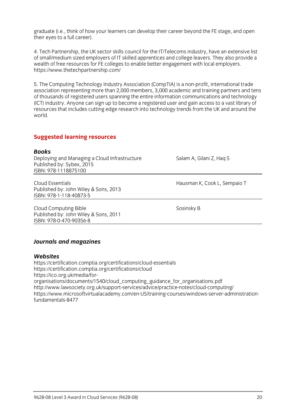graduate (i.e., think of how your learners can develop their career beyond the FE stage, and open their eves to a full career).  $\frac{1}{\sqrt{2}}$ 

4. Tech Partnership, the UK sector skills council for the IT/Telecoms industry, have an extensive list of small/medium sized employers of IT skilled apprentices and college leavers. They also provide a wealth of free resources for FE colleges to enable better engagement with local employers. https://www.thetechpartnership.com/ https://www.thetechpartnership.com/

5. The Computing Technology Industry Association (CompTIA) is a non-profit, international trade of thousands of registered users spanning the entire information communications and technology (ICT) industry. Anyone can sign up to become a registered user and gain access to a vast library of resources that includes cutting edge research into technology trends from the UK and around the resources that includes cutting edge research into technology trends from the UK and around the world.

# **Suggested learning resources**

## **Books**

Deploying and Managing a Cloud Infrastructure Deploying and Managing a Cloud Infrastructure Salam A, Gilani Z, Haq S<br>Published by: Sybex, 2015 ISBN: 978-1118875100 <u>ISBN: 978-11189-111887-111887</u>

Cloud Essentials<br>
Published by: John Wiley & Sons, 2013<br>
Published by: John Wiley & Sons, 2013 Cloud Essentials ISBN: 978-1-118-40873-5 <u>ISBN: 978-1-118-40873-5</u>

Cloud Computing Bible<br>
Published by: John Wiley & Sons, 2011 ISBN: 978-0-470-90356-8 <u>ISBN: 978-0-470-9035-8</u>

*Journals and magazines*

Websites<br>https://certification.comptia.org/certifications/cloud-essentials https://certification.comptia.org/certifications/cloudhttps://ico.org.uk/media/fororganisations/documents/1540/cloud computing guidance for organisations.pdf http://www.lawsociety.org.uk/support-services/advice/practice-notes/cloud-computing/ https://www.microsoftvirtualacademy.com/en-US/training-courses/windows-server-administrationfundamentals-8477 fundamentals-8477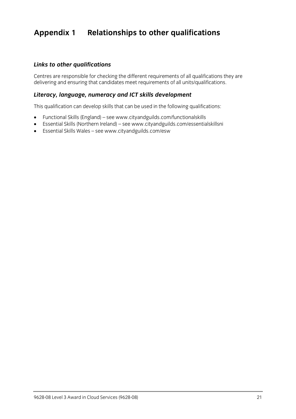## **Appendix 1 Relationships to other qualifications**

## *Links to other qualifications*

Centres are responsible for checking the different requirements of all units/qualifications they are delivering and ensuring that can deliver meet requirements of all units/qualifications.

### *Literacy, language, numeracy and ICT skills development*

This qualification can develop skills that can be used in the following qualifications:

- Functional Skills (England) se[e www.](http://www.cityandguilds.com/functionalskills)[cityandguilds.com/functionalskills](http://www.cityandguilds.com/essentialskillsni)<br>● Fssential Skills (Northern Ireland) see www.cityandguilds.com/essentia
- Essential Skills (Northern Ireland) see www.cityandguilds.com/essentialskillsni<br>■ Essential Skills Wales see www.cityandguilds.com/esw
- Essential Skills Wales see [www.cityandguilds.com/esw](http://www.cityandguilds.com/esw)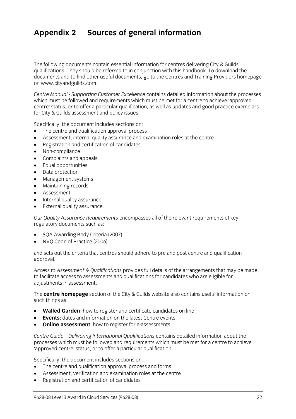## **Appendix 2 Sources of general information**

The following documents contain essential information for centres delivering City & Guilds qualifications. They should be referred to in conjunction with this handbook. To download the documents and to find other useful documents, go to the Centres and Training Providers homepage on www.cityandguilds.com.  $\frac{1}{2}$  and  $\frac{1}{2}$ 

*Centre Manual - Supporting Customer Excellence* contains detailed information about the processes centre' status, or to offer a particular qualification, as well as updates and good practice exemplars for City & Guilds assessment and policy issues. for City & Guilds assessment and policy issues.

- The centre and qualification approval process<br>• Assessment internal quality assurance and ex
- Assessment, internal quality assurance and examination roles at the centre
- Registration and certification of candidates
- Non-compliance
- Complaints and appeals
- Equal opportunities
- Data protection
- Management systems
- Maintaining records
- Assessment
- Internal quality assurance
- External quality assurance.

*Our Quality Assurance Requirements* encompasses all of the relevant requirements of key regulatory documents such as:

- SQA Awarding Body Criteria (2007)
- NVQ Code of Practice (2006)

and sets out the criteria that centres should adhere to pre and post centre and qualification approval. approval.

*Access to Assessment & Qualifications* provides full details of the arrangements that may be made adiustments in assessment. adjustments in assessment.

The **centre homepage** section of the City & Guilds website also contains useful information on  $\mathbf{S}$ 

- **Walled Garden**: how to register and certificate candidates on line
- **Events:** dates and information on the latest Centre events
- **Online assessment**: how to register for e-assessments.

*Centre Guide – Delivering International Qualifications* contains detailed information about the processes which must be followed and requirements which methods where a centre to achieve.<br>'annroved centre' status or to offer a narticular qualification 'approved centre' status, or to offer a particular qualification.

- The centre and qualification approval process and forms
- Assessment, verification and examination roles at the centre
- Registration and certification of candidates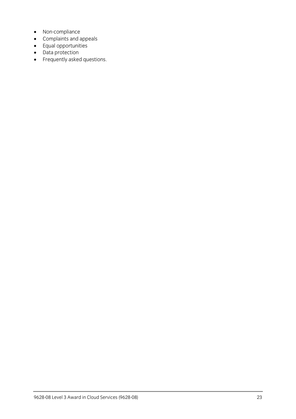- Non-compliance
- Complaints and appeals
- Equal opportunities
- Data protection
- Frequently asked questions.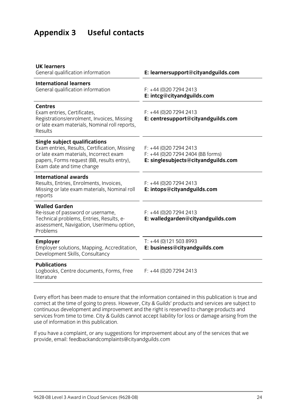# **Appendix 3 Useful contacts**

| E: learnersupport@cityandguilds.com                                                                 |
|-----------------------------------------------------------------------------------------------------|
| $F: +44(0)2072942413$<br>E: intcg@cityandguilds.com                                                 |
| $F: +44(0)2072942413$<br>E: centresupport@cityandguilds.com                                         |
| $F: +44(0)2072942413$<br>$F: +44$ (0)20 7294 2404 (BB forms)<br>E: singlesubjects@cityandguilds.com |
| $F: +44(0)2072942413$<br>E: intops@cityandguilds.com                                                |
| $F: +44(0)2072942413$<br>E: walledgarden@cityandguilds.com                                          |
| $T: +44(0)1215038993$<br>E: business@cityandguilds.com                                              |
| $F: +44(0)2072942413$                                                                               |
|                                                                                                     |

Every effort has been made to ensure that the information contained in this publication is true and correct at the time of going to press. However, City & Guilds' products and services are subject to continuous development and improvement and the right is reserved to change products and continuous development and improvement and input and input in the reservices from the right is reserved to change and the right in the right is respectively. services from time to time. City & Guilds cannot accept liability for loss or damage arising from the use of information in this publication.

If you have a complete a complaint in the service and the services that we have a complete the services that we have a control of the services that we have a control of the services that we have a control of the service th provide, email[: feedbackandcomplaints@cityandguilds.com](http://feedbackandcomplaints@cityandguilds.com)